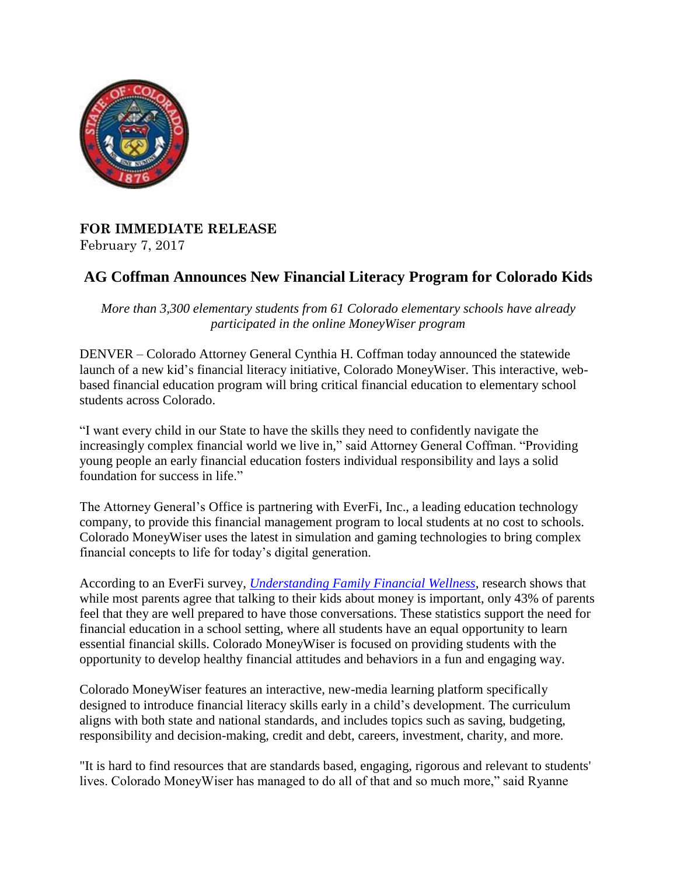

## **FOR IMMEDIATE RELEASE** February 7, 2017

## **AG Coffman Announces New Financial Literacy Program for Colorado Kids**

*More than 3,300 elementary students from 61 Colorado elementary schools have already participated in the online MoneyWiser program*

DENVER – Colorado Attorney General Cynthia H. Coffman today announced the statewide launch of a new kid's financial literacy initiative, Colorado MoneyWiser. This interactive, webbased financial education program will bring critical financial education to elementary school students across Colorado.

"I want every child in our State to have the skills they need to confidently navigate the increasingly complex financial world we live in," said Attorney General Coffman. "Providing young people an early financial education fosters individual responsibility and lays a solid foundation for success in life."

The Attorney General's Office is partnering with EverFi, Inc., a leading education technology company, to provide this financial management program to local students at no cost to schools. Colorado MoneyWiser uses the latest in simulation and gaming technologies to bring complex financial concepts to life for today's digital generation.

According to an EverFi survey, *[Understanding Family Financial Wellness](http://everfi.com/portfolio-item/understanding-family-financial-capability/)*, research shows that while most parents agree that talking to their kids about money is important, only 43% of parents feel that they are well prepared to have those conversations. These statistics support the need for financial education in a school setting, where all students have an equal opportunity to learn essential financial skills. Colorado MoneyWiser is focused on providing students with the opportunity to develop healthy financial attitudes and behaviors in a fun and engaging way.

Colorado MoneyWiser features an interactive, new-media learning platform specifically designed to introduce financial literacy skills early in a child's development. The curriculum aligns with both state and national standards, and includes topics such as saving, budgeting, responsibility and decision-making, credit and debt, careers, investment, charity, and more.

"It is hard to find resources that are standards based, engaging, rigorous and relevant to students' lives. Colorado MoneyWiser has managed to do all of that and so much more," said Ryanne